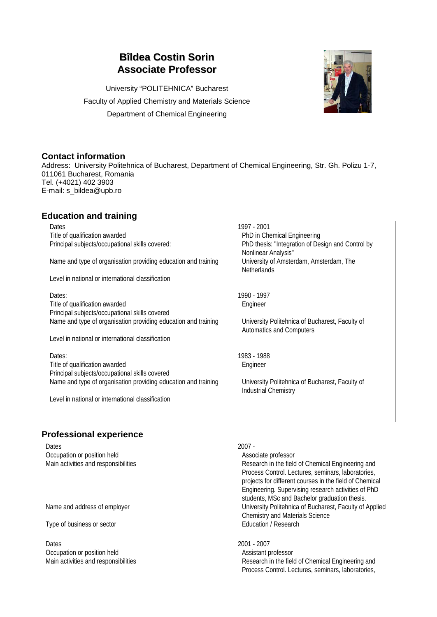# **Bîldea Costin Sorin Associate Professor**

University "POLITEHNICA" Bucharest Faculty of Applied Chemistry and Materials Science Department of Chemical Engineering



## **Contact information**

Address: University Politehnica of Bucharest, Department of Chemical Engineering, Str. Gh. Polizu 1-7, 011061 Bucharest, Romania Tel. (+4021) 402 3903 E-mail: s\_bildea@upb.ro

# **Education and training**

Dates 1997 - 2001 Title of qualification awarded **PhD** in Chemical Engineering

Name and type of organisation providing education and training University of Amsterdam, Amsterdam, The

Level in national or international classification

Dates: 1990 - 1997 Title of qualification awarded Engineer Principal subjects/occupational skills covered Name and type of organisation providing education and training University Politehnica of Bucharest, Faculty of

Level in national or international classification

Dates: 1983 - 1988 Title of qualification awarded Engineer Principal subjects/occupational skills covered Name and type of organisation providing education and training University Politehnica of Bucharest, Faculty of

Level in national or international classification

Principal subjects/occupational skills covered: PhD thesis: "Integration of Design and Control by Nonlinear Analysis" **Netherlands** 

Automatics and Computers

Industrial Chemistry

### **Professional experience**

Dates 2007 -Occupation or position held Associate professor

Type of business or sector **Education** / Research

Dates 2001 - 2007 Occupation or position held and a series of the Assistant professor

Main activities and responsibilities **Research** in the field of Chemical Engineering and Process Control. Lectures, seminars, laboratories, projects for different courses in the field of Chemical Engineering. Supervising research activities of PhD students, MSc and Bachelor graduation thesis. Name and address of employer **Name and address of employer** University Politehnica of Bucharest, Faculty of Applied Chemistry and Materials Science

Main activities and responsibilities **Research** in the field of Chemical Engineering and Process Control. Lectures, seminars, laboratories,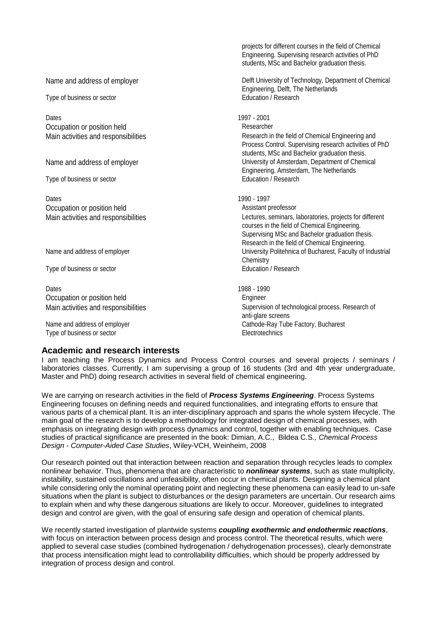|                                      | projects for different courses in the field of Chemical<br>Engineering. Supervising research activities of PhD<br>students, MSc and Bachelor graduation thesis. |
|--------------------------------------|-----------------------------------------------------------------------------------------------------------------------------------------------------------------|
| Name and address of employer         | Delft University of Technology, Department of Chemical<br>Engineering, Delft, The Netherlands                                                                   |
| Type of business or sector           | Education / Research                                                                                                                                            |
| Dates                                | 1997 - 2001                                                                                                                                                     |
| Occupation or position held          | Researcher                                                                                                                                                      |
| Main activities and responsibilities | Research in the field of Chemical Engineering and<br>Process Control. Supervising research activities of PhD<br>students, MSc and Bachelor graduation thesis.   |
| Name and address of employer         | University of Amsterdam, Department of Chemical<br>Engineering, Amsterdam, The Netherlands                                                                      |
| Type of business or sector           | Education / Research                                                                                                                                            |
| Dates                                | 1990 - 1997                                                                                                                                                     |
| Occupation or position held          | Assistant preofessor                                                                                                                                            |
| Main activities and responsibilities | Lectures, seminars, laboratories, projects for different<br>courses in the field of Chemical Engineering.                                                       |
|                                      | Supervising MSc and Bachelor graduation thesis.<br>Research in the field of Chemical Engineering.                                                               |
| Name and address of employer         | University Politehnica of Bucharest, Faculty of Industrial<br>Chemistry                                                                                         |
| Type of business or sector           | Education / Research                                                                                                                                            |
| Dates                                | 1988 - 1990                                                                                                                                                     |
| Occupation or position held          | Engineer                                                                                                                                                        |
| Main activities and responsibilities | Supervision of technological process. Research of<br>anti-glare screens                                                                                         |
| Name and address of employer         | Cathode-Ray Tube Factory, Bucharest                                                                                                                             |
| Type of business or sector           | Electrotechnics                                                                                                                                                 |

#### **Academic and research interests**

I am teaching the Process Dynamics and Process Control courses and several projects / seminars / laboratories classes. Currently, I am supervising a group of 16 students (3rd and 4th year undergraduate, Master and PhD) doing research activities in several field of chemical engineering.

We are carrying on research activities in the field of *Process Systems Engineering*. Process Systems Engineering focuses on defining needs and required functionalities, and integrating efforts to ensure that various parts of a chemical plant. It is an inter-disciplinary approach and spans the whole system lifecycle. The main goal of the research is to develop a methodology for integrated design of chemical processes, with emphasis on integrating design with process dynamics and control, together with enabling techniques. Case studies of practical significance are presented in the book: Dimian, A.C., Bildea C.S*., Chemical Process Design - Computer-Aided Case Studies*, Wiley-VCH, Weinheim, 2008

Our research pointed out that interaction between reaction and separation through recycles leads to complex nonlinear behavior. Thus, phenomena that are characteristic to *nonlinear systems*, such as state multiplicity, instability, sustained oscillations and unfeasibility, often occur in chemical plants. Designing a chemical plant while considering only the nominal operating point and neglecting these phenomena can easily lead to un-safe situations when the plant is subject to disturbances or the design parameters are uncertain. Our research aims to explain when and why these dangerous situations are likely to occur. Moreover, guidelines to integrated design and control are given, with the goal of ensuring safe design and operation of chemical plants.

We recently started investigation of plantwide systems *coupling exothermic and endothermic reactions*, with focus on interaction between process design and process control. The theoretical results, which were applied to several case studies (combined hydrogenation / dehydrogenation processes), clearly demonstrate that process intensification might lead to controllability difficulties, which should be properly addressed by integration of process design and control.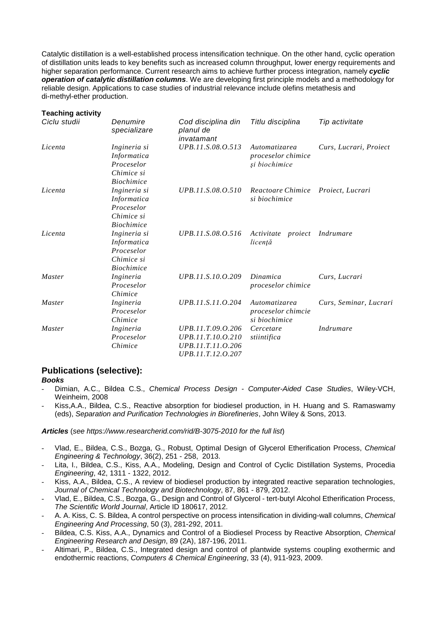Catalytic distillation is a well-established process intensification technique. On the other hand, cyclic operation of distillation units leads to key benefits such as increased column throughput, lower energy requirements and higher separation performance. Current research aims to achieve further process integration, namely *cyclic operation of catalytic distillation columns*. We are developing first principle models and a methodology for reliable design. Applications to case studies of industrial relevance include olefins metathesis and di-methyl-ether production.

| <b>Teaching activity</b> |  |
|--------------------------|--|
|--------------------------|--|

| Ciclu studii  | Denumire<br>specializare                                                     | Cod disciplina din<br>planul de<br>invatamant                                    | Titlu disciplina                                     | Tip activitate         |
|---------------|------------------------------------------------------------------------------|----------------------------------------------------------------------------------|------------------------------------------------------|------------------------|
| Licenta       | Ingineria si<br><i>Informatica</i><br>Proceselor<br>Chimice si               | UPB.11.S.08.O.513                                                                | Automatizarea<br>proceselor chimice<br>și biochimice | Curs, Lucrari, Proiect |
|               | <b>Biochimice</b>                                                            |                                                                                  |                                                      |                        |
| Licenta       | Ingineria si<br>Informatica<br>Proceselor<br>Chimice si                      | UPB.11.S.08.O.510                                                                | Reactoare Chimice<br>si biochimice                   | Proiect, Lucrari       |
| Licenta       | <b>Biochimice</b><br>Ingineria si<br>Informatica<br>Proceselor<br>Chimice si | UPB.11.S.08.O.516                                                                | Activitate<br>proiect<br>licentă                     | Indrumare              |
| <i>Master</i> | <b>Biochimice</b><br>Ingineria<br>Proceselor<br>Chimice                      | UPB.11.S.10.0.209                                                                | Dinamica<br>proceselor chimice                       | Curs, Lucrari          |
| Master        | Ingineria<br>Proceselor<br>Chimice                                           | UPB.11.S.11.O.204                                                                | Automatizarea<br>proceselor chimcie<br>si biochimice | Curs, Seminar, Lucrari |
| Master        | Ingineria<br>Proceselor<br>Chimice                                           | UPB.11.T.09.O.206<br>UPB.11.T.10.0.210<br>UPB.11.T.11.O.206<br>UPB.11.T.12.0.207 | Cercetare<br>stiintifica                             | <i>Indrumare</i>       |

#### **Publications (selective):**

*Books*

- Dimian, A.C., Bildea C.S., *Chemical Process Design - Computer-Aided Case Studies*, Wiley-VCH, Weinheim, 2008
- Kiss,A.A., Bildea, C.S., Reactive absorption for biodiesel production, in H. Huang and S. Ramaswamy (eds), *Separation and Purification Technologies in Biorefineries*, John Wiley & Sons, 2013.

*Articles* (*see https://www.researcherid.com/rid/B-3075-2010 for the full list*)

- Vlad, E., Bildea, C.S., Bozga, G., Robust, Optimal Design of Glycerol Etherification Process, *Chemical Engineering & Technology*, 36(2), 251 - 258, 2013.
- Lita, I., Bildea, C.S., Kiss, A.A., Modeling, Design and Control of Cyclic Distillation Systems, Procedia *Engineering*, 42, 1311 - 1322, 2012.
- Kiss, A.A., Bildea, C.S., A review of biodiesel production by integrated reactive separation technologies, *Journal of Chemical Technology and Biotechnology*, 87, 861 - 879, 2012.
- Vlad, E., Bildea, C.S., Bozga, G., Design and Control of Glycerol tert-butyl Alcohol Etherification Process, *The Scientific World Journal*, Article ID 180617, 2012.
- A. A. Kiss, C. S. Bildea, A control perspective on process intensification in dividing-wall columns, *Chemical Engineering And Processing*, 50 (3), 281-292, 2011.
- Bildea, C.S. Kiss, A.A., Dynamics and Control of a Biodiesel Process by Reactive Absorption, *Chemical Engineering Research and Design*, 89 (2A), 187-196, 2011.
- Altimari, P., Bildea, C.S., Integrated design and control of plantwide systems coupling exothermic and endothermic reactions, *Computers & Chemical Engineering*, 33 (4), 911-923, 2009.